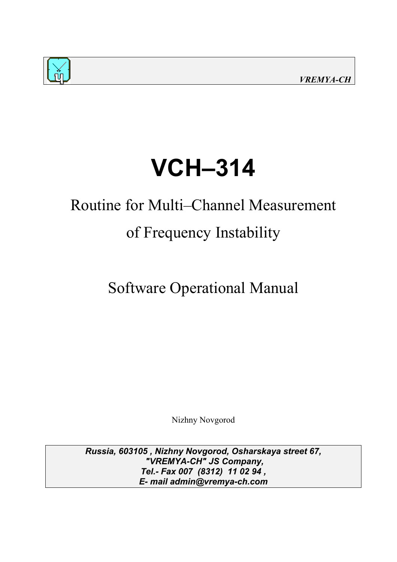



# **VCH–314**

## Routine for Multi–Channel Measurement of Frequency Instability

Software Operational Manual

Nizhny Novgorod

*Russia, 603105 , Nizhny Novgorod, Osharskaya street 67, "VREMYA-CH" JS Company, Tel.- Fax 007 (8312) 11 02 94 , E- mail admin@vremya-ch.com*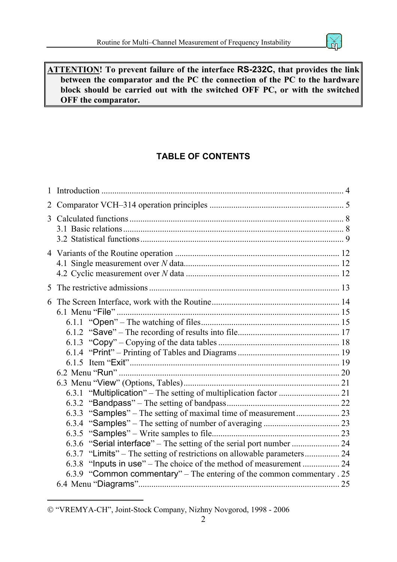

#### **ATTENTION! To prevent failure of the interface RS-232C, that provides the link between the comparator and the PC the connection of the PC to the hardware block should be carried out with the switched OFF PC, or with the switched OFF the comparator.**

## **TABLE OF CONTENT[S](#page-1-0)**

| 1 |                                                                         |  |
|---|-------------------------------------------------------------------------|--|
| 2 |                                                                         |  |
| 3 |                                                                         |  |
|   |                                                                         |  |
|   |                                                                         |  |
|   |                                                                         |  |
| 5 |                                                                         |  |
| 6 |                                                                         |  |
|   |                                                                         |  |
|   |                                                                         |  |
|   |                                                                         |  |
|   |                                                                         |  |
|   |                                                                         |  |
|   |                                                                         |  |
|   |                                                                         |  |
|   |                                                                         |  |
|   |                                                                         |  |
|   |                                                                         |  |
|   |                                                                         |  |
|   |                                                                         |  |
|   |                                                                         |  |
|   | 6.3.6 "Serial interface" – The setting of the serial port number  24    |  |
|   | 6.3.7 "Limits" – The setting of restrictions on allowable parameters 24 |  |
|   | 6.3.8 "Inputs in use" – The choice of the method of measurement  24     |  |
|   | 6.3.9 "Common commentary" – The entering of the common commentary . 25  |  |
|   |                                                                         |  |

 $\overline{a}$ 

<span id="page-1-0"></span> <sup>&</sup>quot;VREMYA-CH", Joint-Stock Company, Nizhny Novgorod, 1998 - 2006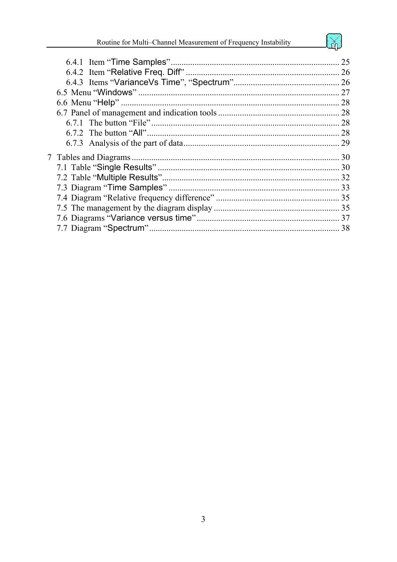勋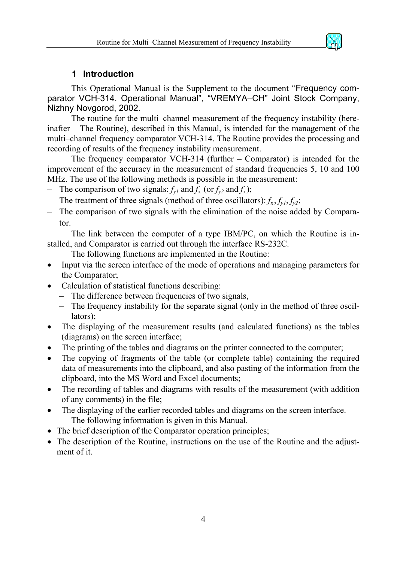

#### **1 Introduction**

<span id="page-3-0"></span>This Operational Manual is the Supplement to the document "Frequency comparator VCH-314. Operational Manual", "VREMYA-CH" Joint Stock Company, Nizhny Novgorod, 2002.

The routine for the multi–channel measurement of the frequency instability (hereinafter – The Routine), described in this Manual, is intended for the management of the multi–channel frequency comparator VCH-314. The Routine provides the processing and recording of results of the frequency instability measurement.

The frequency comparator VCH-314 (further – Comparator) is intended for the improvement of the accuracy in the measurement of standard frequencies 5, 10 and 100 MHz. The use of the following methods is possible in the measurement:

- The comparison of two signals:  $f_{vl}$  and  $f_x$  (or  $f_{v2}$  and  $f_x$ );
- The treatment of three signals (method of three oscillators):  $f_x$ ,  $f_{y1}$ ,  $f_{y2}$ ;
- The comparison of two signals with the elimination of the noise added by Comparator.

The link between the computer of a type IBM/PC, on which the Routine is installed, and Comparator is carried out through the interface RS-232C.

The following functions are implemented in the Routine:

- Input via the screen interface of the mode of operations and managing parameters for the Comparator;
- Calculation of statistical functions describing:
	- The difference between frequencies of two signals,
	- The frequency instability for the separate signal (only in the method of three oscillators);
- The displaying of the measurement results (and calculated functions) as the tables (diagrams) on the screen interface;
- The printing of the tables and diagrams on the printer connected to the computer;
- The copying of fragments of the table (or complete table) containing the required data of measurements into the clipboard, and also pasting of the information from the clipboard, into the MS Word and Excel documents;
- The recording of tables and diagrams with results of the measurement (with addition of any comments) in the file;
- The displaying of the earlier recorded tables and diagrams on the screen interface. The following information is given in this Manual.
- The brief description of the Comparator operation principles;
- The description of the Routine, instructions on the use of the Routine and the adjustment of it.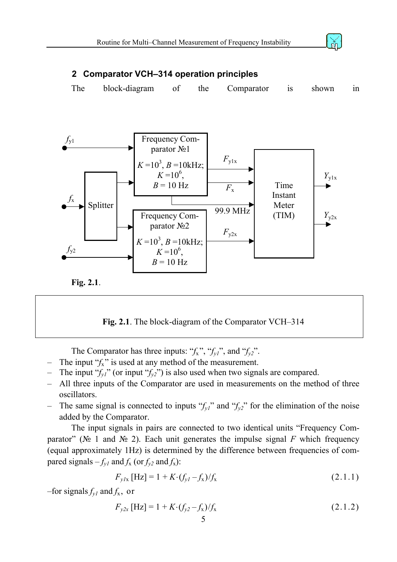

### <span id="page-4-4"></span><span id="page-4-0"></span>**2 Comparator VCH–314 operation principles**

The block-diagram of the Comparator is shown in



<span id="page-4-1"></span>

**Fig. 2.1**. The block-diagram of the Comparator VCH–314

The Comparator has three inputs: " $f_x$ ", " $f_{y1}$ ", and " $f_{y2}$ ".

- The input  $f_x$ " is used at any method of the measurement.
- The input " $f_{y1}$ " (or input " $f_{y2}$ ") is also used when two signals are compared.
- All three inputs of the Comparator are used in measurements on the method of three oscillators.
- The same signal is connected to inputs " $f_{v1}$ " and " $f_{v2}$ " for the elimination of the noise added by the Comparator.

The input signals in pairs are connected to two identical units "Frequency Comparator" ( $\mathcal{N}_2$  1 and  $\mathcal{N}_2$ ). Each unit generates the impulse signal *F* which frequency (equal approximately 1Hz) is determined by the difference between frequencies of compared signals  $-f_{y1}$  and  $f_x$  (or  $f_{y2}$  and  $f_x$ ):

<span id="page-4-2"></span>
$$
F_{y1x} \text{ [Hz]} = 1 + K \cdot (f_{y1} - f_x) / f_x \tag{2.1.1}
$$

–for signals  $f_{v1}$  and  $f_{x}$ , or

<span id="page-4-3"></span>
$$
F_{y2x} \text{ [Hz]} = 1 + K \cdot (f_{y2} - f_x) / f_x \tag{2.1.2}
$$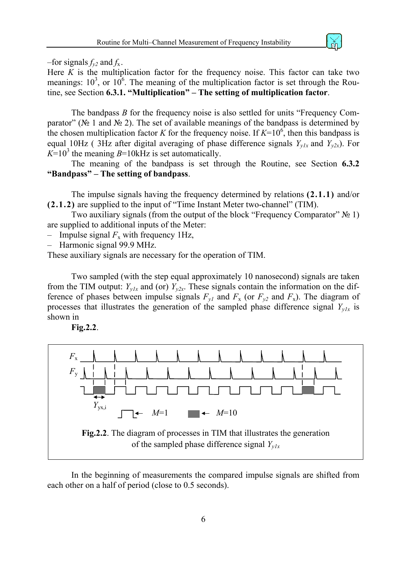–for signals  $f_{v2}$  and  $f_{x}$ .

Here  $K$  is the multiplication factor for the frequency noise. This factor can take two meanings:  $10^3$ , or  $10^6$ . The meaning of the multiplication factor is set through the Routine, see Section **[6.3.1.](#page-20-1) "Multiplication"** – The setting of multiplication factor.

The bandpass *B* for the frequency noise is also settled for units "Frequency Comparator" ( $\mathcal{N}_2$  1 and  $\mathcal{N}_2$ ). The set of available meanings of the bandpass is determined by the chosen multiplication factor *K* for the frequency noise. If  $K=10^6$ , then this bandpass is equal 10Hz (3Hz after digital averaging of phase difference signals  $Y_{y/x}$  and  $Y_{y2x}$ ). For  $K=10^3$  the meaning *B*=10kHz is set automatically.

The meaning of the bandpass is set through the Routine, see Section **[6.3.2](#page-21-1)  ["Bandpass" – The setting of bandpass](#page-21-1)**.

The impulse signals having the frequency determined by relations **[\(2.1.1\)](#page-4-2)** and/or **[\(2.1.2\)](#page-4-3)** are supplied to the input of "Time Instant Meter two-channel" (TIM).

Two auxiliary signals (from the output of the block "Frequency Comparator"  $\mathbb{N}_2$  1) are supplied to additional inputs of the Meter:

– Impulse signal  $F_x$  with frequency 1Hz,

– Harmonic signal 99.9 MHz.

These auxiliary signals are necessary for the operation of TIM.

Two sampled (with the step equal approximately 10 nanosecond) signals are taken from the TIM output:  $Y_{y1x}$  and (or)  $Y_{y2x}$ . These signals contain the information on the difference of phases between impulse signals  $F_{yI}$  and  $F_x$  (or  $F_{y2}$  and  $F_x$ ). The diagram of processes that illustrates the generation of the sampled phase difference signal *Yy1x* is shown in

<span id="page-5-0"></span>



In the beginning of measurements the compared impulse signals are shifted from each other on a half of period (close to 0.5 seconds).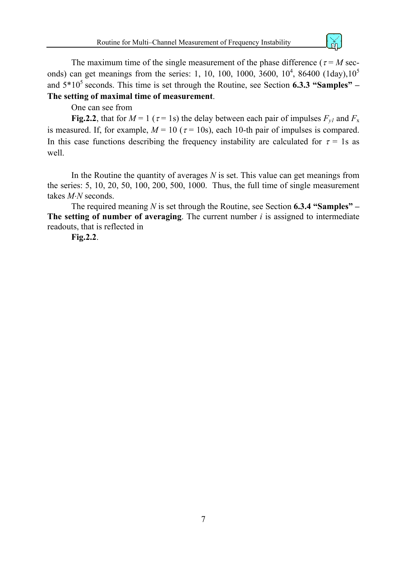

The maximum time of the single measurement of the phase difference ( $\tau = M$  seconds) can get meanings from the series: 1, 10, 100, 1000, 3600,  $10^4$ , 86400 (1day),  $10^5$ and  $5*10^5$  seconds. This time is set through the Routine, see Section **6.3.3 "Samples"** – **[The setting of maximal time of measurement](#page-22-1)**.

One can see from

**[Fig.2.2](#page-5-0)**, that for  $M = 1$  ( $\tau = 1$ s) the delay between each pair of impulses  $F_{\nu l}$  and  $F_{\nu l}$ is measured. If, for example,  $M = 10$  ( $\tau = 10$ s), each 10-th pair of impulses is compared. In this case functions describing the frequency instability are calculated for  $\tau = 1$ s as well.

In the Routine the quantity of averages *N* is set. This value can get meanings from the series: 5, 10, 20, 50, 100, 200, 500, 1000. Thus, the full time of single measurement takes *M*⋅*N* seconds.

The required meaning *N* is set through the Routine, see Section **[6.3.4 "Samples" –](#page-22-2) [The setting of number of averaging](#page-22-2)**. The current number *i* is assigned to intermediate readouts, that is reflected in

**[Fig.2.2](#page-5-0)**.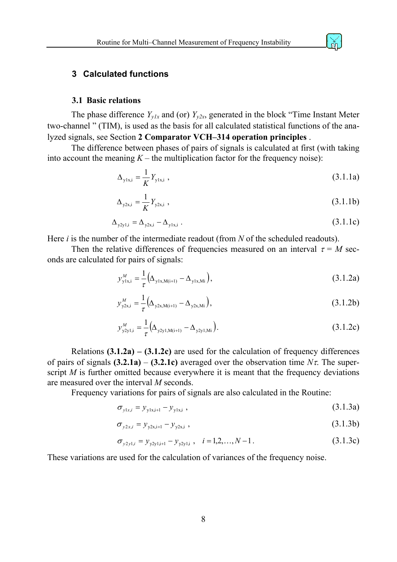<span id="page-7-0"></span>

#### **3.1 Basic relations**

The phase difference  $Y_{v1x}$  and (or)  $Y_{v2x}$ , generated in the block "Time Instant Meter two-channel " (TIM), is used as the basis for all calculated statistical functions of the analyzed signals, see Section **[2 Comparator VCH–314 operation principles](#page-4-4)** .

The difference between phases of pairs of signals is calculated at first (with taking into account the meaning  $K$  – the multiplication factor for the frequency noise):

$$
\Delta_{y1x,i} = \frac{1}{K} Y_{y1x,i} \tag{3.1.1a}
$$

$$
\Delta_{y2x,i} = \frac{1}{K} Y_{y2x,i} \tag{3.1.1b}
$$

$$
\Delta_{y2y1,i} = \Delta_{y2x,i} - \Delta_{y1x,i} \tag{3.1.1c}
$$

Here *i* is the number of the intermediate readout (from *N* of the scheduled readouts).

Then the relative differences of frequencies measured on an interval  $\tau = M$  seconds are calculated for pairs of signals:

<span id="page-7-1"></span>
$$
y_{y1x,i}^M = \frac{1}{\tau} \Big( \Delta_{y1x,M(i+1)} - \Delta_{y1x,Mi} \Big), \tag{3.1.2a}
$$

$$
y_{y2x,i}^M = \frac{1}{\tau} \left( \Delta_{y2x,M(i+1)} - \Delta_{y2x,Mi} \right),
$$
\n(3.1.2b)

<span id="page-7-2"></span>
$$
y_{y2y1,i}^M = \frac{1}{\tau} \Big( \Delta_{y2y1,M(i+1)} - \Delta_{y2y1,Mi} \Big).
$$
 (3.1.2c)

Relations  $(3.1.2a) - (3.1.2c)$  $(3.1.2a) - (3.1.2c)$  $(3.1.2a) - (3.1.2c)$  are used for the calculation of frequency differences of pairs of signals  $(3.2.1a) - (3.2.1c)$  $(3.2.1a) - (3.2.1c)$  $(3.2.1a) - (3.2.1c)$  averaged over the observation time  $N\tau$ . The superscript *M* is further omitted because everywhere it is meant that the frequency deviations are measured over the interval *M* seconds.

Frequency variations for pairs of signals are also calculated in the Routine:

<span id="page-7-3"></span>
$$
\sigma_{y1x,i} = y_{y1x,i+1} - y_{y1x,i} \tag{3.1.3a}
$$

$$
\sigma_{y2x,i} = y_{y2x,i+1} - y_{y2x,i} \tag{3.1.3b}
$$

<span id="page-7-4"></span>
$$
\sigma_{y2y1,i} = y_{y2y1,i+1} - y_{y2y1,i} \ , \quad i = 1,2,...,N-1 \ . \tag{3.1.3c}
$$

These variations are used for the calculation of variances of the frequency noise.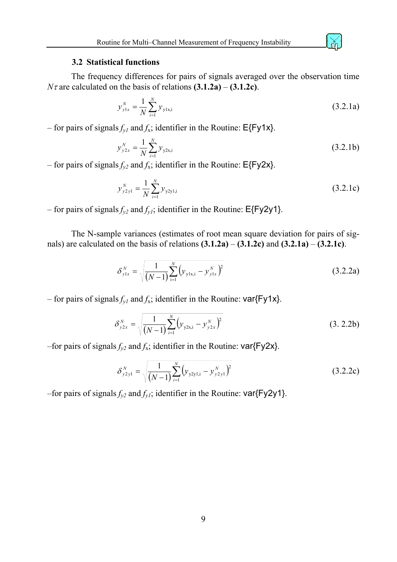#### **3.2 Statistical functions**

<span id="page-8-0"></span>The frequency differences for pairs of signals averaged over the observation time *N* $\tau$  are calculated on the basis of relations **[\(3.1.2a\)](#page-7-1)** – **[\(3.1.2c\)](#page-7-2)**.

$$
y_{y1x}^N = \frac{1}{N} \sum_{i=1}^N y_{y1x,i}
$$
 (3.2.1a)

– for pairs of signals  $f_{y1}$  and  $f_x$ ; identifier in the Routine: E{Fy1x}.

$$
y_{y2x}^N = \frac{1}{N} \sum_{i=1}^N y_{y2x,i}
$$
 (3.2.1b)

– for pairs of signals  $f_{yz}$  and  $f_x$ ; identifier in the Routine: E{Fy2x}.

$$
y_{y2y1}^N = \frac{1}{N} \sum_{i=1}^N y_{y2y1,i}
$$
 (3.2.1c)

– for pairs of signals  $f_{y2}$  and  $f_{y1}$ ; identifier in the Routine:  $E\{Fy2y1\}$ .

The N-sample variances (estimates of root mean square deviation for pairs of signals) are calculated on the basis of relations **[\(3.1.2a\)](#page-7-1)** – **[\(3.1.2c\)](#page-7-2)** and **[\(3.2.1a\)](#page-8-1)** – **[\(3.2.1c\)](#page-8-2)**.

$$
\delta_{y1x}^{N} = \sqrt{\frac{1}{(N-1)} \sum_{i=1}^{N} (y_{y1x,i} - y_{y1x}^{N})^{2}}
$$
(3.2.2a)

– for pairs of signals  $f_{y1}$  and  $f_x$ ; identifier in the Routine: var{Fy1x}.

$$
\delta_{y2x}^N = \sqrt{\frac{1}{(N-1)}\sum_{i=1}^N (y_{y2x,i} - y_{y2x}^N)^2}
$$
\n(3. 2.2b)

–for pairs of signals  $f_{y2}$  and  $f_{x}$ ; identifier in the Routine: var{Fy2x}.

$$
\delta_{y2y1}^N = \sqrt{\frac{1}{(N-1)}\sum_{i=1}^N (y_{y2y1,i} - y_{y2y1}^N)^2}
$$
(3.2.2c)

–for pairs of signals  $f_{y2}$  and  $f_{y1}$ ; identifier in the Routine: var{Fy2y1}.

<span id="page-8-2"></span><span id="page-8-1"></span>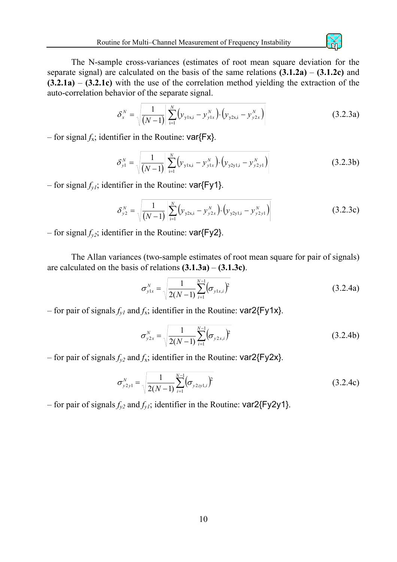

The N-sample cross-variances (estimates of root mean square deviation for the separate signal) are calculated on the basis of the same relations **[\(3.1.2a\)](#page-7-1)** – **[\(3.1.2c\)](#page-7-2)** and **[\(3.2.1a\)](#page-8-1)** – **[\(3.2.1c\)](#page-8-2)** with the use of the correlation method yielding the extraction of the auto-correlation behavior of the separate signal.

$$
\delta_x^N = \sqrt{\frac{1}{(N-1)}} \left| \sum_{i=1}^N \left( y_{y1x,i} - y_{y1x}^N \right) \cdot \left( y_{y2x,i} - y_{y2x}^N \right) \right| \tag{3.2.3a}
$$

– for signal  $f_x$ ; identifier in the Routine: var ${Fx}$ .

$$
\delta_{y1}^{N} = \sqrt{\frac{1}{(N-1)} \left| \sum_{i=1}^{N} (y_{y1x,i} - y_{y1x}^{N}) \cdot (y_{y2y1,i} - y_{y2y1}^{N}) \right|}
$$
(3.2.3b)

– for signal  $f_{y1}$ ; identifier in the Routine:  $\text{var}$ {Fy1}.

$$
\delta_{y2}^{N} = \sqrt{\frac{1}{(N-1)} \left| \sum_{i=1}^{N} (y_{y2x,i} - y_{y2x}^{N}) \cdot (y_{y2y1,i} - y_{y2y1}^{N}) \right|}
$$
(3.2.3c)

– for signal  $f_{yz}$ ; identifier in the Routine:  $var{Fyz}$ .

The Allan variances (two-sample estimates of root mean square for pair of signals) are calculated on the basis of relations **[\(3.1.3a\)](#page-7-3)** – **[\(3.1.3c\)](#page-7-4)**.

$$
\sigma_{y1x}^{N} = \sqrt{\frac{1}{2(N-1)} \sum_{i=1}^{N-1} (\sigma_{y1x,i})^2}
$$
(3.2.4a)

– for pair of signals  $f_{y1}$  and  $f_x$ ; identifier in the Routine: var2{Fy1x}.

$$
\sigma_{y2x}^{N} = \sqrt{\frac{1}{2(N-1)} \sum_{i=1}^{N-1} (\sigma_{y2x,i})^2}
$$
(3.2.4b)

– for pair of signals  $f_{y2}$  and  $f_x$ ; identifier in the Routine: var2{Fy2x}.

$$
\sigma_{y2y1}^{N} = \sqrt{\frac{1}{2(N-1)} \sum_{i=1}^{N-1} (\sigma_{y2zy1,i})^2}
$$
(3.2.4c)

– for pair of signals  $f_{v2}$  and  $f_{v1}$ ; identifier in the Routine: var2{Fy2y1}.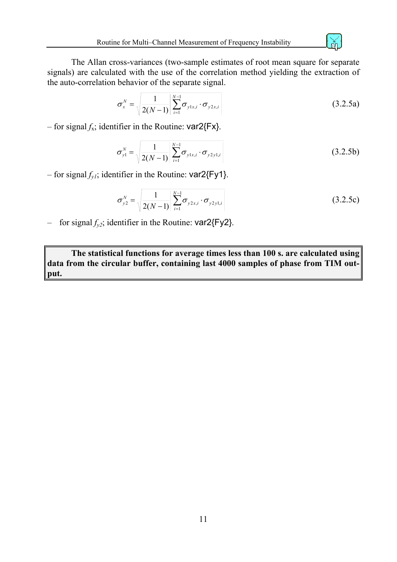The Allan cross-variances (two-sample estimates of root mean square for separate signals) are calculated with the use of the correlation method yielding the extraction of the auto-correlation behavior of the separate signal.

$$
\sigma_{x}^{N} = \sqrt{\frac{1}{2(N-1)} \left| \sum_{i=1}^{N-1} \sigma_{y1x,i} \cdot \sigma_{y2x,i} \right|}
$$
(3.2.5a)

– for signal  $f_x$ ; identifier in the Routine:  $\text{var2}\{\text{Fx}\}.$ 

$$
\sigma_{y1}^{N} = \sqrt{\frac{1}{2(N-1)} \left| \sum_{i=1}^{N-1} \sigma_{y1x,i} \cdot \sigma_{y2y1,i} \right|}
$$
(3.2.5b)

– for signal  $f_{vl}$ ; identifier in the Routine: var2{Fy1}.

$$
\sigma_{y2}^{N} = \sqrt{\frac{1}{2(N-1)} \left| \sum_{i=1}^{N-1} \sigma_{y2x,i} \cdot \sigma_{y2y1,i} \right|}
$$
(3.2.5c)

– for signal  $f_{\nu2}$ ; identifier in the Routine:  $\text{var2}\$ [Fy2].

**The statistical functions for average times less than 100 s. are calculated using data from the circular buffer, containing last 4000 samples of phase from TIM output.**

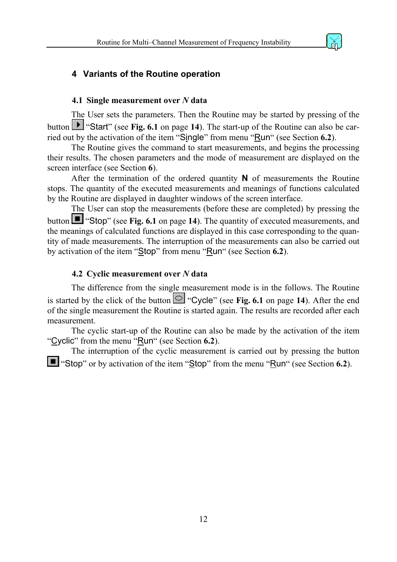

#### <span id="page-11-1"></span><span id="page-11-0"></span>**4 Variants of the Routine operation**

#### **4.1 Single measurement over** *N* **data**

The User sets the parameters. Then the Routine may be started by pressing of the button **I** "Start" (see [Fig. 6.1](#page-13-1) on page [14](#page-13-1)). The start-up of the Routine can also be carried out by the activation of the item "Single" from menu "Run" (see Section **[6.2](#page-19-1)**).

The Routine gives the command to start measurements, and begins the processing their results. The chosen parameters and the mode of measurement are displayed on the screen interface (see Section **[6](#page-13-2)**).

After the termination of the ordered quantity **N** of measurements the Routine stops. The quantity of the executed measurements and meanings of functions calculated by the Routine are displayed in daughter windows of the screen interface.

The User can stop the measurements (before these are completed) by pressing the button  $\blacksquare$  "Stop" (see [Fig. 6.1](#page-13-1) on page [14](#page-13-1)). The quantity of executed measurements, and the meanings of calculated functions are displayed in this case corresponding to the quantity of made measurements. The interruption of the measurements can also be carried out by activation of the item "Stop" from menu "Run" (see Section **[6.2](#page-19-1)**).

#### **4.2 Cyclic measurement over** *N* **data**

The difference from the single measurement mode is in the follows. The Routine is started by the click of the button  $\bullet$  "Cycle" (see [Fig. 6.1](#page-13-1) on page [14](#page-13-1)). After the end of the single measurement the Routine is started again. The results are recorded after each measurement.

The cyclic start-up of the Routine can also be made by the activation of the item "Cyclic" from the menu "Run" (see Section **[6.2](#page-19-1)**).

The interruption of the cyclic measurement is carried out by pressing the button "Stop" or by activation of the item "Stop" from the menu "Run" (see Section **[6.2](#page-19-1)**).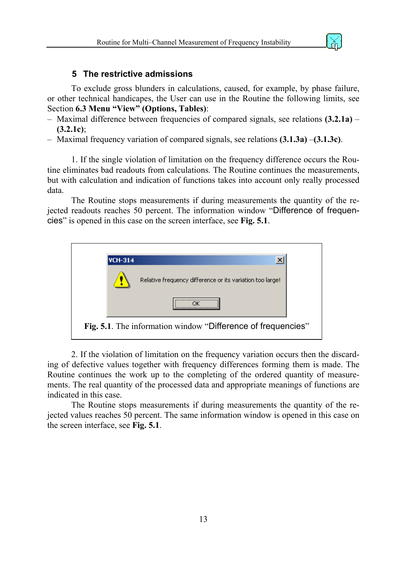

#### <span id="page-12-1"></span>**5 The restrictive admissions**

<span id="page-12-0"></span>To exclude gross blunders in calculations, caused, for example, by phase failure, or other technical handicapes, the User can use in the Routine the following limits, see Section **[6.3 Menu "View" \(Options, Tables\)](#page-20-2)**:

- Maximal difference between frequencies of compared signals, see relations **[\(3.2.1a\)](#page-8-1) [\(3.2.1c\)](#page-8-2)**;
- Maximal frequency variation of compared signals, see relations **[\(3.1.3a\)](#page-7-3)** –**[\(3.1.3c\)](#page-7-4)**.

1. If the single violation of limitation on the frequency difference occurs the Routine eliminates bad readouts from calculations. The Routine continues the measurements, but with calculation and indication of functions takes into account only really processed data.

The Routine stops measurements if during measurements the quantity of the rejected readouts reaches 50 percent. The information window "Difference of frequencies" is opened in this case on the screen interface, see **[Fig. 5.1](#page-13-1)**.



2. If the violation of limitation on the frequency variation occurs then the discarding of defective values together with frequency differences forming them is made. The Routine continues the work up to the completing of the ordered quantity of measurements. The real quantity of the processed data and appropriate meanings of functions are indicated in this case.

The Routine stops measurements if during measurements the quantity of the rejected values reaches 50 percent. The same information window is opened in this case on the screen interface, see **[Fig. 5.1](#page-13-1)**.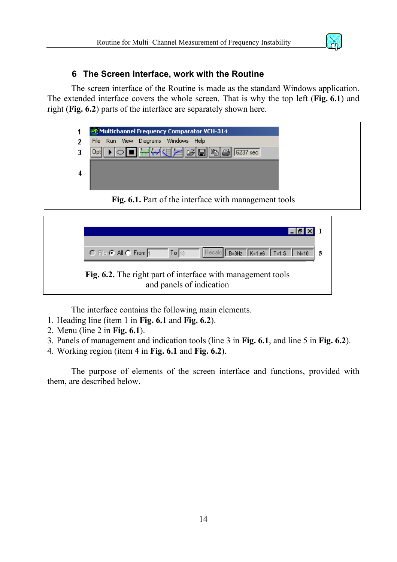#### <span id="page-13-2"></span>**6 The Screen Interface, work with the Routine**

<span id="page-13-0"></span>The screen interface of the Routine is made as the standard Windows application. The extended interface covers the whole screen. That is why the top left (**[Fig. 6.1](#page-13-1)**) and right (**[Fig. 6.2](#page-13-1)**) parts of the interface are separately shown here.



<span id="page-13-1"></span>

The interface contains the following main elements.

- 1. Heading line (item 1 in **[Fig. 6.1](#page-13-1)** and **[Fig. 6.2](#page-13-1)**).
- 2. Menu (line 2 in **[Fig. 6.1](#page-13-1)**).
- 3. Panels of management and indication tools (line 3 in **[Fig. 6.1](#page-13-1)**, and line 5 in **[Fig. 6.2](#page-13-1)**).
- 4. Working region (item 4 in **[Fig. 6.1](#page-13-1)** and **[Fig. 6.2](#page-13-1)**).

The purpose of elements of the screen interface and functions, provided with them, are described below.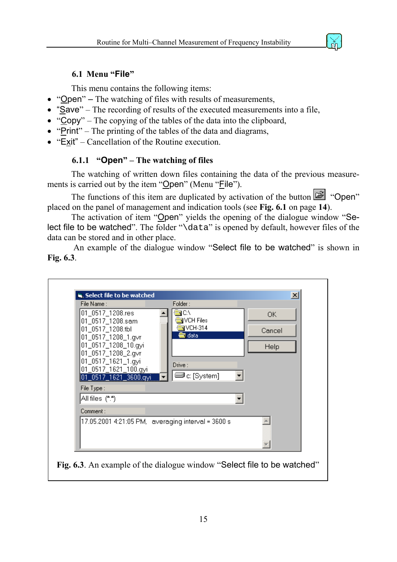<span id="page-14-2"></span>

#### <span id="page-14-0"></span>**6.1 Menu "File"**

This menu contains the following items:

- "Open" The watching of files with results of measurements,
- "Save" The recording of results of the executed measurements into a file,
- "Copy" The copying of the tables of the data into the clipboard,
- "Print" The printing of the tables of the data and diagrams,
- "Exit" Cancellation of the Routine execution.

#### <span id="page-14-1"></span>**6.1.1 "Open" – The watching of files**

The watching of written down files containing the data of the previous measurements is carried out by the item "Open" (Menu "File").

The functions of this item are duplicated by activation of the button  $\mathbb{E}$  "Open" placed on the panel of management and indication tools (see **[Fig. 6.1](#page-13-1)** on page **[14](#page-13-1)**).

The activation of item "Open" yields the opening of the dialogue window "Select file to be watched". The folder "\data" is opened by default, however files of the data can be stored and in other place.

An example of the dialogue window "Select file to be watched" is shown in **[Fig. 6.3](#page-5-0)**.

| File Name :<br>01_0517_1208.res<br>01_0517_1208.sam<br>01_0517_1208.tbl<br>01_0517_1208_1.gvr<br>01_0517_1208_10.gyi<br>01_0517_1208_2.qvr<br>01_0517_1621_1.qyi<br>01_0517_1621_100.gyi<br>$[01]$ 0517 1621 3600.qyi<br>File Type: | Folder:<br>SI CA<br>VCH Files<br>$VCH-314$<br>a data<br>Drive:<br>⊒l c: [System] | ОК<br>Cancel<br>Help |
|-------------------------------------------------------------------------------------------------------------------------------------------------------------------------------------------------------------------------------------|----------------------------------------------------------------------------------|----------------------|
| All files (*.*)                                                                                                                                                                                                                     |                                                                                  |                      |
| Comment :                                                                                                                                                                                                                           |                                                                                  |                      |
|                                                                                                                                                                                                                                     | 17.05.2001 4:21:05 PM, averaging interval = 3600 s                               |                      |
|                                                                                                                                                                                                                                     |                                                                                  |                      |
|                                                                                                                                                                                                                                     |                                                                                  |                      |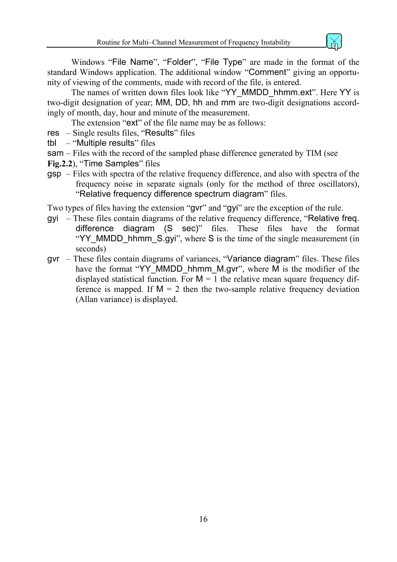

Windows "File Name", "Folder", "File Type" are made in the format of the standard Windows application. The additional window "Comment" giving an opportunity of viewing of the comments, made with record of the file, is entered.

The names of written down files look like "YY\_MMDD\_hhmm.ext". Here YY is two-digit designation of year; MM, DD, hh and mm are two-digit designations accordingly of month, day, hour and minute of the measurement.

The extension "ext" of the file name may be as follows:

- res Single results files, "Results" files
- tbl "Multiple results" files
- sam Files with the record of the sampled phase difference generated by TIM (see
- **[Fig.2.2](#page-5-0)**), "Time Samples" files
- gsp Files with spectra of the relative frequency difference, and also with spectra of the frequency noise in separate signals (only for the method of three oscillators), "Relative frequency difference spectrum diagram" files.

Two types of files having the extension "gvr" and "gyi" are the exception of the rule.

- gyi These files contain diagrams of the relative frequency difference, "Relative freq. difference diagram (S sec)" files. These files have the format "YY\_MMDD\_hhmm\_S.gyi", where S is the time of the single measurement (in seconds)
- gvr These files contain diagrams of variances, "Variance diagram" files. These files have the format "YY\_MMDD\_hhmm\_M.gvr", where M is the modifier of the displayed statistical function. For  $M = 1$  the relative mean square frequency difference is mapped. If  $M = 2$  then the two-sample relative frequency deviation (Allan variance) is displayed.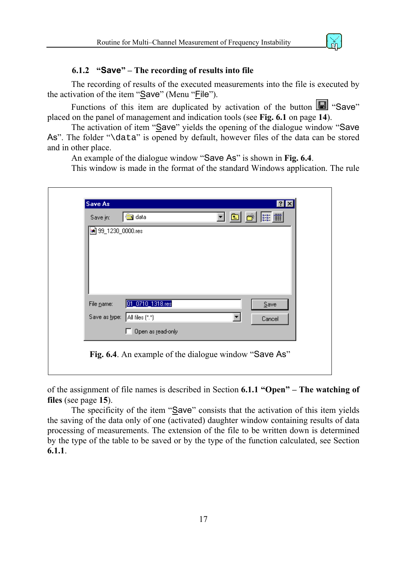#### <span id="page-16-1"></span>**6.1.2 "Save" – The recording of results into file**

<span id="page-16-0"></span>The recording of results of the executed measurements into the file is executed by the activation of the item "Save" (Menu "File").

Functions of this item are duplicated by activation of the button  $\Box$  "Save" placed on the panel of management and indication tools (see **[Fig. 6.1](#page-13-1)** on page **[14](#page-13-1)**).

The activation of item "Save" yields the opening of the dialogue window "Save As". The folder "\data" is opened by default, however files of the data can be stored and in other place.

An example of the dialogue window "Save As" is shown in **[Fig. 6.4](#page-14-1)**.

This window is made in the format of the standard Windows application. The rule

| Save in:<br>8 99_1230_0000.res | data              | 面 | $\left  \mathbb{H} \right $ |  |
|--------------------------------|-------------------|---|-----------------------------|--|
|                                |                   |   |                             |  |
|                                |                   |   |                             |  |
|                                |                   |   |                             |  |
|                                |                   |   |                             |  |
| File name:                     | 01_0710_1318.res  |   | $S$ ave                     |  |
| Save as type: All files (*.*)  |                   |   | Cancel                      |  |
|                                | Open as read-only |   |                             |  |

of the assignment of file names is described in Section **[6.1.1 "Open" – The watching of](#page-14-1)  [files](#page-14-1)** (see page **[15](#page-14-2)**).

The specificity of the item "Save" consists that the activation of this item yields the saving of the data only of one (activated) daughter window containing results of data processing of measurements. The extension of the file to be written down is determined by the type of the table to be saved or by the type of the function calculated, see Section **[6.1.1](#page-14-1)**.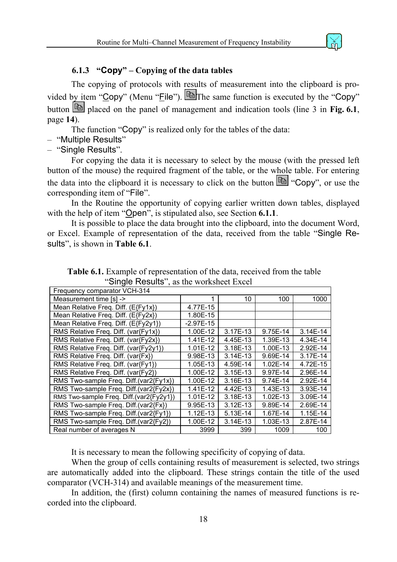#### **6.1.3 "Copy" – Copying of the data tables**

<span id="page-17-0"></span>The copying of protocols with results of measurement into the clipboard is provided by item "Copy" (Menu "File").  $\boxed{\triangleq}$  The same function is executed by the "Copy" button  $\boxed{\triangleq}$  placed on the panel of management and indication tools (line 3 in [Fig. 6.1](#page-13-1), page **[14](#page-13-1)**).

The function "Copy" is realized only for the tables of the data:

- "Multiple Results"
- "Single Results".

For copying the data it is necessary to select by the mouse (with the pressed left button of the mouse) the required fragment of the table, or the whole table. For entering the data into the clipboard it is necessary to click on the button  $\Box$  "Copy", or use the corresponding item of "File".

In the Routine the opportunity of copying earlier written down tables, displayed with the help of item "Open", is stipulated also, see Section **[6.1.1](#page-14-1)**.

It is possible to place the data brought into the clipboard, into the document Word, or Excel. Example of representation of the data, received from the table "Single Results", is shown in **[Table 6.1](#page-13-1)**.

| Frequency comparator VCH-314            |             |              |              |          |
|-----------------------------------------|-------------|--------------|--------------|----------|
| Measurement time [s] ->                 | 1           | 10           | 100          | 1000     |
| Mean Relative Freq. Diff. (E{Fy1x})     | 4.77E-15    |              |              |          |
| Mean Relative Freq. Diff. (E{Fy2x})     | 1.80E-15    |              |              |          |
| Mean Relative Freq. Diff. (E{Fy2y1})    | $-2.97E-15$ |              |              |          |
| RMS Relative Freq. Diff. (var{Fy1x})    | 1.00E-12    | $3.17E-13$   | 9.75E-14     | 3.14E-14 |
| RMS Relative Freq. Diff. (var{Fy2x})    | 1.41E-12    | 4.45E-13     | 1.39E-13     | 4.34E-14 |
| RMS Relative Freq. Diff. (var{Fy2y1})   | $1.01E-12$  | 3.18E-13     | 1.00E-13     | 2.92E-14 |
| RMS Relative Freq. Diff. (var{Fx})      | 9.98E-13    | $3.14E-13$   | 9.69E-14     | 3.17E-14 |
| RMS Relative Freq. Diff. (var{Fy1})     | 1.05E-13    | 4.59E-14     | $1.02E - 14$ | 4.72E-15 |
| RMS Relative Freq. Diff. (var{Fy2})     | 1.00E-12    | $3.15E-13$   | 9.97E-14     | 2.96E-14 |
| RMS Two-sample Freq. Diff.(var2{Fy1x})  | 1.00E-12    | $3.16E-13$   | 9.74E-14     | 2.92E-14 |
| RMS Two-sample Freq. Diff.(var2{Fy2x})  | $1.41E-12$  | 4.42E-13     | $1.43E-13$   | 3.93E-14 |
| RMS Two-sample Freq. Diff.(var2{Fy2y1}) | $1.01E-12$  | 3.18E-13     | $1.02E-13$   | 3.09E-14 |
| RMS Two-sample Freq. Diff.(var2{Fx})    | 9.95E-13    | $3.12E - 13$ | 9.89E-14     | 2.69E-14 |
| RMS Two-sample Freq. Diff.(var2{Fy1})   | $1.12E-13$  | 5.13E-14     | 1.67E-14     | 1.15E-14 |
| RMS Two-sample Freq. Diff.(var2{Fy2})   | 1.00E-12    | $3.14E-13$   | 1.03E-13     | 2.87E-14 |
| Real number of averages N               | 3999        | 399          | 1009         | 100      |

**Table 6.1.** Example of representation of the data, received from the table "Single Results", as the worksheet Excel

It is necessary to mean the following specificity of copying of data.

When the group of cells containing results of measurement is selected, two strings are automatically added into the clipboard. These strings contain the title of the used comparator (VCH-314) and available meanings of the measurement time.

In addition, the (first) column containing the names of measured functions is recorded into the clipboard.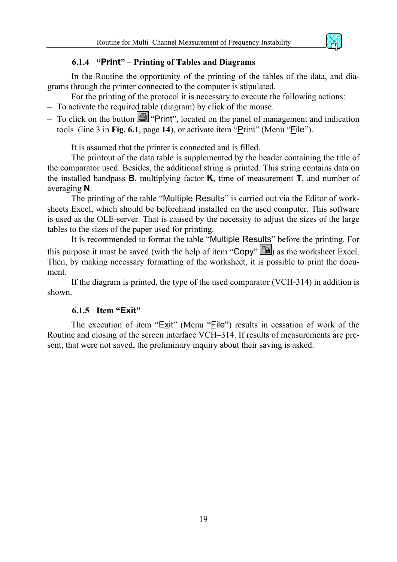

#### **6.1.4 "Print" – Printing of Tables and Diagrams**

<span id="page-18-0"></span>In the Routine the opportunity of the printing of the tables of the data, and diagrams through the printer connected to the computer is stipulated.

For the printing of the protocol it is necessary to execute the following actions:

- To activate the required table (diagram) by click of the mouse.
- To click on the button  $\mathbb{R}$  "Print", located on the panel of management and indication tools (line 3 in **[Fig. 6.1](#page-13-1)**, page **[14](#page-13-1)**), or activate item "Print" (Menu "File").

It is assumed that the printer is connected and is filled.

The printout of the data table is supplemented by the header containing the title of the comparator used. Besides, the additional string is printed. This string contains data on the installed bandpass **B**, multiplying factor **K**, time of measurement **T**, and number of averaging **N**.

The printing of the table "Multiple Results" is carried out via the Editor of worksheets Excel, which should be beforehand installed on the used computer. This software is used as the OLE-server. That is caused by the necessity to adjust the sizes of the large tables to the sizes of the paper used for printing.

It is recommended to format the table "Multiple Results" before the printing. For this purpose it must be saved (with the help of item "Copy"  $\mathbb{E}$ ) as the worksheet Excel. Then, by making necessary formatting of the worksheet, it is possible to print the document.

If the diagram is printed, the type of the used comparator (VCH-314) in addition is shown.

#### **6.1.5 Item "Exit"**

The execution of item "Exit" (Menu "File") results in cessation of work of the Routine and closing of the screen interface VCH–314. If results of measurements are present, that were not saved, the preliminary inquiry about their saving is asked.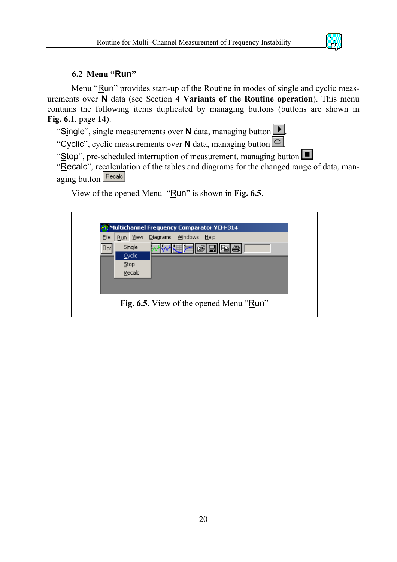#### <span id="page-19-1"></span>**6.2 Menu "Run"**

<span id="page-19-0"></span>Menu "Run" provides start-up of the Routine in modes of single and cyclic measurements over **N** data (see Section **[4 Variants of the Routine operation](#page-11-1)**). This menu contains the following items duplicated by managing buttons (buttons are shown in **[Fig. 6.1](#page-13-1)**, page **[14](#page-13-1)**).

– "Single", single measurements over **N** data, managing button .



- "Cyclic", cyclic measurements over **N** data, managing button .
- "Stop", pre-scheduled interruption of measurement, managing button
- $-$  "Recalc", recalculation of the tables and diagrams for the changed range of data, managing button Recalc

View of the opened Menu "Run" is shown in **[Fig. 6.5](#page-13-1)**.

| File | Run View    | Diagrams Windows<br>Help |
|------|-------------|--------------------------|
| Opt  | Single      | 예상대<br>n B               |
|      | Cyclic      |                          |
|      | <b>Stop</b> |                          |
|      | Recald      |                          |
|      |             |                          |
|      |             |                          |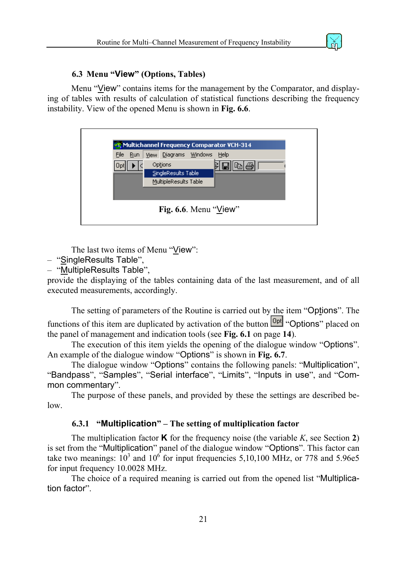

#### <span id="page-20-2"></span>**6.3 Menu "View" (Options, Tables)**

<span id="page-20-0"></span>Menu "View" contains items for the management by the Comparator, and displaying of tables with results of calculation of statistical functions describing the frequency instability. View of the opened Menu is shown in **[Fig. 6.6](#page-13-1)**.

| My Multichannel Frequency Comparator VCH-314 |                                    |  |  |  |
|----------------------------------------------|------------------------------------|--|--|--|
| File<br>Run                                  | Diagrams Windows<br>Help<br>View 1 |  |  |  |
|                                              | Options<br>E,                      |  |  |  |
|                                              | SingleResults Table                |  |  |  |
|                                              | MultipleResults Table              |  |  |  |
|                                              |                                    |  |  |  |
|                                              | Fig. 6.6. Menu " $View$ "          |  |  |  |

The last two items of Menu "View":

- "SingleResults Table",
- $-$  "MultipleResults Table",

provide the displaying of the tables containing data of the last measurement, and of all executed measurements, accordingly.

The setting of parameters of the Routine is carried out by the item "Options". The functions of this item are duplicated by activation of the button **Opt** "Options" placed on the panel of management and indication tools (see **[Fig. 6.1](#page-13-1)** on page **[14](#page-13-1)**).

The execution of this item yields the opening of the dialogue window "Options". An example of the dialogue window "Options" is shown in **[Fig. 6.7](#page-4-4)**.

The dialogue window "Options" contains the following panels: "Multiplication", "Bandpass", "Samples", "Serial interface", "Limits", "Inputs in use", and "Common commentary".

The purpose of these panels, and provided by these the settings are described below.

#### <span id="page-20-1"></span>**6.3.1 "Multiplication" – The setting of multiplication factor**

The multiplication factor **K** for the frequency noise (the variable  $K$ , see Section [2](#page-4-4)) is set from the "Multiplication" panel of the dialogue window "Options". This factor can take two meanings:  $10^3$  and  $10^6$  for input frequencies 5,10,100 MHz, or 778 and 5.96e5 for input frequency 10.0028 MHz.

The choice of a required meaning is carried out from the opened list "Multiplication factor".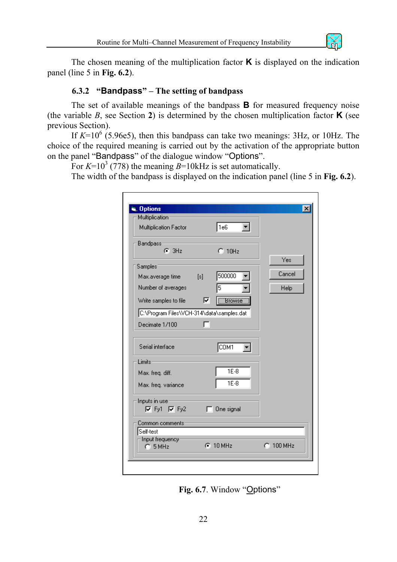

<span id="page-21-0"></span>The chosen meaning of the multiplication factor **K** is displayed on the indication panel (line 5 in **[Fig. 6.2](#page-4-4)**).

#### <span id="page-21-1"></span>**6.3.2 "Bandpass" – The setting of bandpass**

The set of available meanings of the bandpass **B** for measured frequency noise (the variable  $B$ , see Section [2](#page-4-4)) is determined by the chosen multiplication factor **K** (see previous Section).

If  $K=10^6$  (5.96e5), then this bandpass can take two meanings: 3Hz, or 10Hz. The choice of the required meaning is carried out by the activation of the appropriate button on the panel "Bandpass" of the dialogue window "Options".

For  $K=10^3$  (778) the meaning  $B=10$ kHz is set automatically.

The width of the bandpass is displayed on the indication panel (line 5 in **[Fig. 6.2](#page-4-4)**).

| Multiplication Factor                     |     | 1e6           |             |
|-------------------------------------------|-----|---------------|-------------|
| <b>Bandpass</b><br>$G$ 3Hz                |     | $C_{10Hz}$    |             |
|                                           |     |               | Yes         |
| Samples <sup>®</sup>                      |     |               |             |
| Max.average time                          | [s] | 500000        | Cancel      |
| Number of averages                        |     | 5             | <b>Help</b> |
| Write samples to file the                 | ⊽   | <b>Browse</b> |             |
| C:\Program Files\VCH-314\data\samples.dat |     |               |             |
| Decimate 1/100                            |     |               |             |
| Serial interface                          |     | COM1          |             |
| Limits:                                   |     |               |             |
| Max. freq. diff.                          |     | $1E-8$        |             |
| Max. freq. variance                       |     | $1E-8$        |             |
| Inputs in use-                            |     |               |             |
| $\nabla$ Fy1 $\nabla$ Fy2                 | г   | One signal    |             |
| Common comments                           |     |               |             |
| Self-test                                 |     |               |             |
| Input frequency-<br>$C$ 5 MHz             |     | $G$ 10 MHz    | $C$ 100 MHz |

**Fig. 6.7**. Window "Options"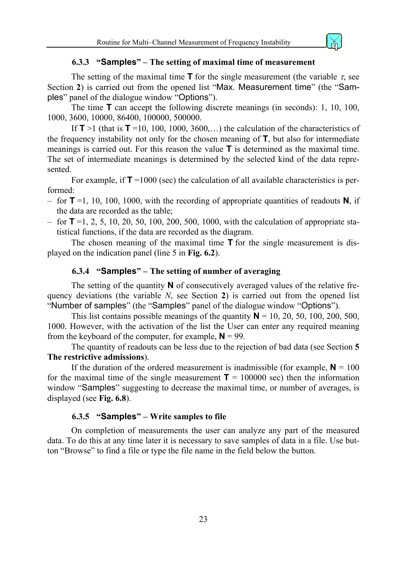#### <span id="page-22-1"></span>**6.3.3 "Samples" – The setting of maximal time of measurement**

<span id="page-22-0"></span>The setting of the maximal time **T** for the single measurement (the variable  $\tau$ , see Section **[2](#page-4-4)**) is carried out from the opened list "Max. Measurement time" (the "Samples" panel of the dialogue window "Options").

The time **T** can accept the following discrete meanings (in seconds): 1, 10, 100, 1000, 3600, 10000, 86400, 100000, 500000.

If  $T > 1$  (that is  $T = 10, 100, 1000, 3600,...$ ) the calculation of the characteristics of the frequency instability not only for the chosen meaning of **T**, but also for intermediate meanings is carried out. For this reason the value **T** is determined as the maximal time. The set of intermediate meanings is determined by the selected kind of the data represented.

For example, if  $T = 1000$  (sec) the calculation of all available characteristics is performed:

- for **T** =1, 10, 100, 1000, with the recording of appropriate quantities of readouts **N**, if the data are recorded as the table;
- $-$  for **T** =1, 2, 5, 10, 20, 50, 100, 200, 500, 1000, with the calculation of appropriate statistical functions, if the data are recorded as the diagram.

The chosen meaning of the maximal time **T** for the single measurement is displayed on the indication panel (line 5 in **[Fig. 6.2](#page-4-4)**).

#### <span id="page-22-2"></span>**6.3.4 "Samples" – The setting of number of averaging**

The setting of the quantity **N** of consecutively averaged values of the relative frequency deviations (the variable *N*, see Section **[2](#page-4-4)**) is carried out from the opened list "Number of samples" (the "Samples" panel of the dialogue window "Options").

This list contains possible meanings of the quantity  $N = 10, 20, 50, 100, 200, 500$ , 1000. However, with the activation of the list the User can enter any required meaning from the keyboard of the computer, for example,  $N = 99$ .

The quantity of readouts can be less due to the rejection of bad data (see Section **[5](#page-12-1)  [The restrictive admissions](#page-12-1)**).

If the duration of the ordered measurement is inadmissible (for example,  $N = 100$ for the maximal time of the single measurement  $T = 100000$  sec) then the information window "Samples" suggesting to decrease the maximal time, or number of averages, is displayed (see **[Fig. 6.8](#page-12-1)**).

#### **6.3.5 "Samples" – Write samples to file**

On completion of measurements the user can analyze any part of the measured data. To do this at any time later it is necessary to save samples of data in a file. Use button "Browse" to find a file or type the file name in the field below the button.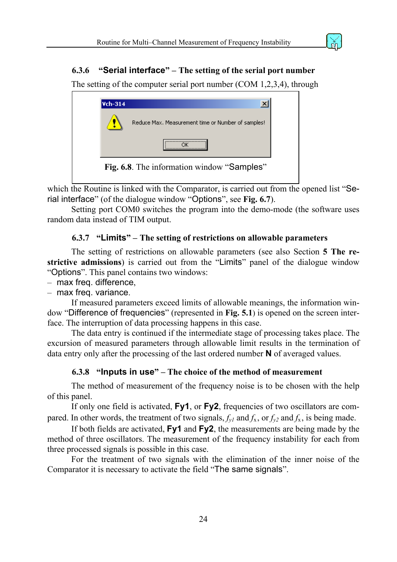<span id="page-23-0"></span>

The setting of the computer serial port number (COM 1,2,3,4), through



which the Routine is linked with the Comparator, is carried out from the opened list "Serial interface" (of the dialogue window "Options", see **[Fig. 6.7](#page-12-1)**).

Setting port COM0 switches the program into the demo-mode (the software uses random data instead of TIM output.

#### **6.3.7 "Limits" – The setting of restrictions on allowable parameters**

The setting of restrictions on allowable parameters (see also Section **[5 The re](#page-12-1)[strictive admissions](#page-12-1)**) is carried out from the "Limits" panel of the dialogue window "Options". This panel contains two windows:

– max freq. difference,

– max freq. variance.

If measured parameters exceed limits of allowable meanings, the information window "Difference of frequencies" (represented in **[Fig. 5.1](#page-13-1)**) is opened on the screen interface. The interruption of data processing happens in this case.

The data entry is continued if the intermediate stage of processing takes place. The excursion of measured parameters through allowable limit results in the termination of data entry only after the processing of the last ordered number **N** of averaged values.

#### <span id="page-23-1"></span>**6.3.8 "Inputs in use" – The choice of the method of measurement**

The method of measurement of the frequency noise is to be chosen with the help of this panel.

If only one field is activated, **Fy1**, or **Fy2**, frequencies of two oscillators are compared. In other words, the treatment of two signals,  $f_{vl}$  and  $f_x$ , or  $f_{v2}$  and  $f_x$ , is being made.

If both fields are activated, **Fy1** and **Fy2**, the measurements are being made by the method of three oscillators. The measurement of the frequency instability for each from three processed signals is possible in this case.

For the treatment of two signals with the elimination of the inner noise of the Comparator it is necessary to activate the field "The same signals".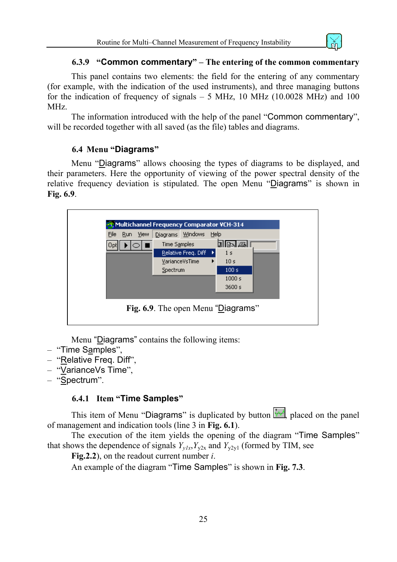

#### **6.3.9 "Common commentary" – The entering of the common commentary**

<span id="page-24-0"></span>This panel contains two elements: the field for the entering of any commentary (for example, with the indication of the used instruments), and three managing buttons for the indication of frequency of signals  $-5$  MHz, 10 MHz (10.0028 MHz) and 100 MHz.

The information introduced with the help of the panel "Common commentary", will be recorded together with all saved (as the file) tables and diagrams.

#### <span id="page-24-1"></span>**6.4 Menu "Diagrams"**

Menu "Diagrams" allows choosing the types of diagrams to be displayed, and their parameters. Here the opportunity of viewing of the power spectral density of the relative frequency deviation is stipulated. The open Menu "Diagrams" is shown in **[Fig. 6.9](#page-13-1)**.



Menu "Diagrams" contains the following items:

- "Time Samples",
- "Relative Freq. Diff",
- "VarianceVs Time",
- "Spectrum".

#### **6.4.1 Item "Time Samples"**

This item of Menu "Diagrams" is duplicated by button  $\mathbb{R}^d$ , placed on the panel of management and indication tools (line 3 in **[Fig. 6.1](#page-13-1)**).

The execution of the item yields the opening of the diagram "Time Samples" that shows the dependence of signals  $Y_{v1x}$ ,  $Y_{v2x}$  and  $Y_{v2y1}$  (formed by TIM, see

**[Fig.2.2](#page-5-0)**), on the readout current number *i*.

An example of the diagram "Time Samples" is shown in **[Fig. 7.3](#page-33-0)**.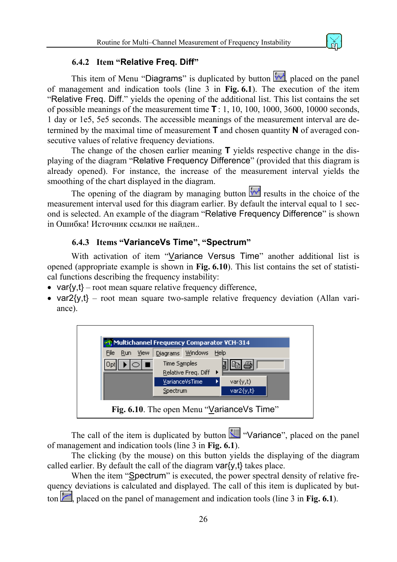#### **6.4.2 Item "Relative Freq. Diff"**

<span id="page-25-0"></span>This item of Menu "Diagrams" is duplicated by button  $\frac{|\mathbf{w} \cdot \mathbf{w}|}{|\mathbf{w} \cdot \mathbf{w}|}$  placed on the panel of management and indication tools (line 3 in **[Fig. 6.1](#page-13-1)**). The execution of the item "Relative Freq. Diff." yields the opening of the additional list. This list contains the set of possible meanings of the measurement time **T** : 1, 10, 100, 1000, 3600, 10000 seconds, 1 day or 1e5, 5e5 seconds. The accessible meanings of the measurement interval are determined by the maximal time of measurement **T** and chosen quantity **N** of averaged consecutive values of relative frequency deviations.

The change of the chosen earlier meaning **T** yields respective change in the displaying of the diagram "Relative Frequency Difference" (provided that this diagram is already opened). For instance, the increase of the measurement interval yields the smoothing of the chart displayed in the diagram.

The opening of the diagram by managing button  $\sqrt[n]{x}$  results in the choice of the measurement interval used for this diagram earlier. By default the interval equal to 1 second is selected. An example of the diagram "Relative Frequency Difference" is shown in Ошибка! [Источник](#page-13-1) ссылки не найден..

#### <span id="page-25-1"></span>**6.4.3 Items "VarianceVs Time", "Spectrum"**

With activation of item "Variance Versus Time" another additional list is opened (appropriate example is shown in **[Fig. 6.10](#page-13-1)**). This list contains the set of statistical functions describing the frequency instability:

- var $\{y,t\}$  root mean square relative frequency difference,
- var $2\{y,t\}$  root mean square two-sample relative frequency deviation (Allan variance).



The call of the item is duplicated by button  $\mathbb{R}$  "Variance", placed on the panel of management and indication tools (line 3 in **[Fig. 6.1](#page-13-1)**).

The clicking (by the mouse) on this button yields the displaying of the diagram called earlier. By default the call of the diagram var{y,t} takes place.

When the item "Spectrum" is executed, the power spectral density of relative frequency deviations is calculated and displayed. The call of this item is duplicated by button **E**, placed on the panel of management and indication tools (line 3 in **[Fig. 6.1](#page-13-1)**).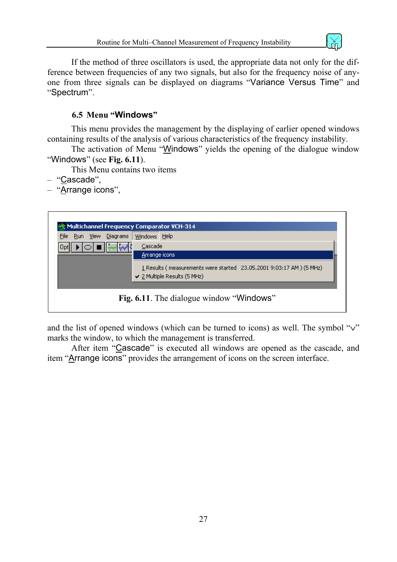

<span id="page-26-0"></span>If the method of three oscillators is used, the appropriate data not only for the difference between frequencies of any two signals, but also for the frequency noise of anyone from three signals can be displayed on diagrams "Variance Versus Time" and "Spectrum".

#### **6.5 Menu "Windows"**

This menu provides the management by the displaying of earlier opened windows containing results of the analysis of various characteristics of the frequency instability.

The activation of Menu "Windows" yields the opening of the dialogue window "Windows" (see **[Fig. 6.11](#page-27-1)**).

This Menu contains two items

- "Cascade",
- "Arrange icons",



and the list of opened windows (which can be turned to icons) as well. The symbol "∨" marks the window, to which the management is transferred.

After item "Cascade" is executed all windows are opened as the cascade, and item "Arrange icons" provides the arrangement of icons on the screen interface.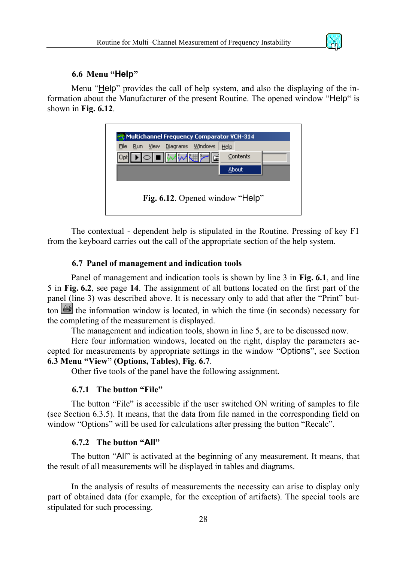

#### **6.6 Menu "Help"**

<span id="page-27-0"></span>Menu "Help" provides the call of help system, and also the displaying of the information about the Manufacturer of the present Routine. The opened window "Help" is shown in **[Fig. 6.12](#page-27-1)**.

<span id="page-27-1"></span>

| Multichannel Frequency Comparator VCH-314<br>File<br><b>View</b><br>Run. | Diagrams                        | <b>Windows</b> | Help |          |  |
|--------------------------------------------------------------------------|---------------------------------|----------------|------|----------|--|
|                                                                          | ∎ II <del>. M</del>             |                |      | Contents |  |
|                                                                          |                                 |                |      | About    |  |
|                                                                          | Fig. 6.12. Opened window "Help" |                |      |          |  |

The contextual - dependent help is stipulated in the Routine. Pressing of key F1 from the keyboard carries out the call of the appropriate section of the help system.

#### **6.7 Panel of management and indication tools**

Panel of management and indication tools is shown by line 3 in **[Fig. 6.1](#page-13-1)**, and line 5 in **[Fig. 6.2](#page-13-1)**, see page **[14](#page-13-1)**. The assignment of all buttons located on the first part of the panel (line 3) was described above. It is necessary only to add that after the "Print" button  $\overline{\mathbf{a}}$  the information window is located, in which the time (in seconds) necessary for the completing of the measurement is displayed.

The management and indication tools, shown in line 5, are to be discussed now.

Here four information windows, located on the right, display the parameters accepted for measurements by appropriate settings in the window "Options", see Section **[6.3 Menu "View" \(Options, Tables\)](#page-20-2)**, **[Fig. 6.7](#page-19-1)**.

Other five tools of the panel have the following assignment.

#### **6.7.1 The button "File"**

The button "File" is accessible if the user switched ON writing of samples to file (see Section 6.3.5). It means, that the data from file named in the corresponding field on window "Options" will be used for calculations after pressing the button "Recalc".

#### **6.7.2 The button "All"**

The button "All" is activated at the beginning of any measurement. It means, that the result of all measurements will be displayed in tables and diagrams.

In the analysis of results of measurements the necessity can arise to display only part of obtained data (for example, for the exception of artifacts). The special tools are stipulated for such processing.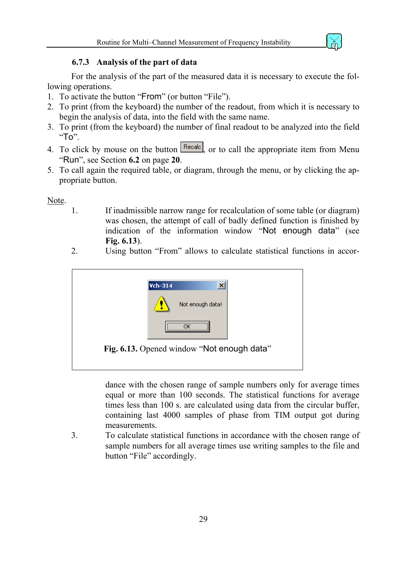

#### **6.7.3 Analysis of the part of data**

<span id="page-28-0"></span>For the analysis of the part of the measured data it is necessary to execute the following operations.

- 1. To activate the button "From" (or button "File").
- 2. To print (from the keyboard) the number of the readout, from which it is necessary to begin the analysis of data, into the field with the same name.
- 3. To print (from the keyboard) the number of final readout to be analyzed into the field  $"To"$ .
- 4. To click by mouse on the button  $\sqrt{\frac{\text{Recalc}}{\text{Recalc}}}$ , or to call the appropriate item from Menu "Run", see Section **[6.2](#page-19-1)** on page **[20](#page-19-1)**.
- 5. To call again the required table, or diagram, through the menu, or by clicking the appropriate button.

Note.

- 1. If inadmissible narrow range for recalculation of some table (or diagram) was chosen, the attempt of call of badly defined function is finished by indication of the information window "Not enough data" (see **[Fig. 6.13](#page-20-2)**).
- 2. Using button "From" allows to calculate statistical functions in accor-



dance with the chosen range of sample numbers only for average times equal or more than 100 seconds. The statistical functions for average times less than 100 s. are calculated using data from the circular buffer, containing last 4000 samples of phase from TIM output got during measurements.

3. To calculate statistical functions in accordance with the chosen range of sample numbers for all average times use writing samples to the file and button "File" accordingly.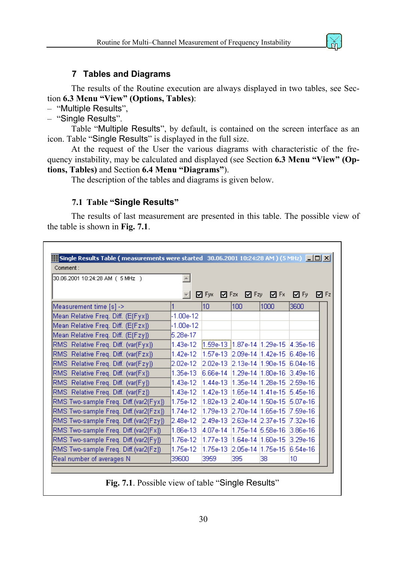

#### **7 Tables and Diagrams**

<span id="page-29-0"></span>The results of the Routine execution are always displayed in two tables, see Section **[6.3 Menu "View" \(Options, Tables\)](#page-20-2)**:

– "Multiple Results",

– "Single Results".

Table "Multiple Results", by default, is contained on the screen interface as an icon. Table "Single Results" is displayed in the full size.

At the request of the User the various diagrams with characteristic of the frequency instability, may be calculated and displayed (see Section **[6.3 Menu "View" \(Op](#page-20-2)[tions, Tables\)](#page-20-2)** and Section **[6.4 Menu "Diagrams"](#page-24-1)**).

The description of the tables and diagrams is given below.

#### **7.1 Table "Single Results"**

The results of last measurement are presented in this table. The possible view of the table is shown in **[Fig. 7.1](#page-20-2)**.

| 30.06.2001 10:24:28 AM ( 5 MHz )        |             |                                 |                                 |                               |                    |  |
|-----------------------------------------|-------------|---------------------------------|---------------------------------|-------------------------------|--------------------|--|
|                                         |             |                                 |                                 |                               |                    |  |
|                                         |             | <b>☑</b> Fyx  ☑ Fzx             |                                 | <b>☑</b> Fzy <b>☑</b> Fx      | ⊡Fy<br><b>M</b> Fz |  |
| Measurement time [s] ->                 |             | 10                              | 100                             | 1000                          | 3600               |  |
| [Mean Relative Freq. Diff. (E{Fyx})     | $-1.00e-12$ |                                 |                                 |                               |                    |  |
| Mean Relative Freq. Diff. (E{Fzx})      | -1.00e-12   |                                 |                                 |                               |                    |  |
| Mean Relative Freq. Diff. (E{Fzy})      | 5.28e-17    |                                 |                                 |                               |                    |  |
| RMS Relative Freq. Diff. (var{Fyx})     | 1.43e-12.   | [1.59e-13   1.87e-14   1.29e-15 |                                 |                               | 4.35e-16           |  |
| RMS Relative Freq. Diff. (var{Fzx})     | 1.42e-12.   |                                 | l1.57e-13 l2.09e-14 l1.42e-15 l |                               | I6 48e-16          |  |
| [RMS] Relative Freq. Diff. (var{Fzy})   | l2.02e-12 i | 2.02e-13                        | 2.13e-14 1.90e-15               |                               | $6.04e-16$         |  |
| RMS Relative Freq. Diff. (var{Fx})      | 1.35e-13.   | 6.66e-14                        | l1.29e-14 l1.80e-16.            |                               | $3.49e-16$         |  |
| [RMS] Relative Freq. Diff. (var{Fy})    | 1.43e-12.   | 1.44e-13                        |                                 | l1.35e-14 l1.28e-15 l2.59e-16 |                    |  |
| RMS Relative Freq. Diff. (var{Fz})      | 1.43e-12    | 1.42e-13                        |                                 |                               | 5.45e-16           |  |
| [RMS Two-sample Freq. Diff.(var2{Fyx}). | l1.75e-12.  | 1.82e-13.                       | 2.40e-14 1.50e-15               |                               | $5.07e-16$         |  |
| (RMS Two-sample Freq. Diff.(var2{Fzx})  | 1.74e-12    | 1.79e-13                        | 2.70e-14 1.65e-15               |                               | 17.59e-16          |  |
| (RMS Two-sample Freq. Diff.(var2{Fzy})  | l2.48e-12   | 2.49e-13                        | l2.63e-14 l2.37e-15.            |                               | $17.32e-16$        |  |
| RMS Two-sample Freq. Diff.(var2{Fx}).   | 1.86e-13    | 4.07e-14                        |                                 |                               | $3.86e-16$         |  |
| RMS Two-sample Freq. Diff.(var2{Fy})    | 1.76e-12    | 1.77e-13.                       |                                 | 1.64e-14 1.60e-15 3.29e-16    |                    |  |
| RMS Two-sample Freq. Diff.(var2{Fz})    | 1.75e-12    | 1.75e-13.                       | 2.05e-14 1.75e-15               |                               | 6.54e-16           |  |
| Real number of averages N               | 39600       | 3959                            | 395                             | 38.                           | 10                 |  |

**Fig. 7.1**. Possible view of table "Single Results"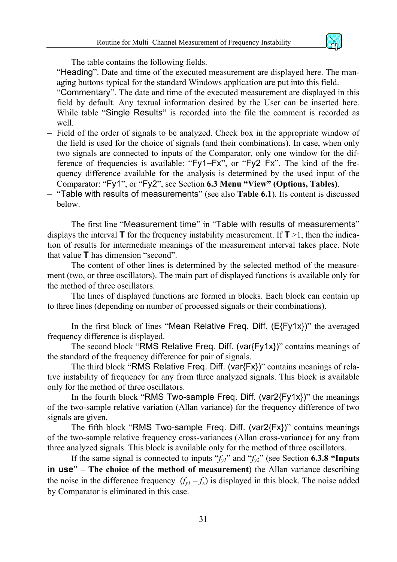

The table contains the following fields.

- "Heading". Date and time of the executed measurement are displayed here. The managing buttons typical for the standard Windows application are put into this field.
- "Commentary". The date and time of the executed measurement are displayed in this field by default. Any textual information desired by the User can be inserted here. While table "Single Results" is recorded into the file the comment is recorded as well.
- Field of the order of signals to be analyzed. Check box in the appropriate window of the field is used for the choice of signals (and their combinations). In case, when only two signals are connected to inputs of the Comparator, only one window for the difference of frequencies is available: "Fy1–Fx", or "Fy2–Fx". The kind of the frequency difference available for the analysis is determined by the used input of the Comparator: "Fy1", or "Fy2", see Section **[6.3 Menu "View" \(Options, Tables\)](#page-20-2)**.
- "Table with results of measurements" (see also **[Table 6.1](#page-23-1)**). Its content is discussed below.

The first line "Measurement time" in "Table with results of measurements" displays the interval  $\mathbf{T}$  for the frequency instability measurement. If  $\mathbf{T} > 1$ , then the indication of results for intermediate meanings of the measurement interval takes place. Note that value **T** has dimension "second".

The content of other lines is determined by the selected method of the measurement (two, or three oscillators). The main part of displayed functions is available only for the method of three oscillators.

The lines of displayed functions are formed in blocks. Each block can contain up to three lines (depending on number of processed signals or their combinations).

In the first block of lines "Mean Relative Freq. Diff.  $(E{Fy1x})$ " the averaged frequency difference is displayed.

The second block "RMS Relative Freq. Diff. (var{Fy1x})" contains meanings of the standard of the frequency difference for pair of signals.

The third block "RMS Relative Freq. Diff. (var{Fx})" contains meanings of relative instability of frequency for any from three analyzed signals. This block is available only for the method of three oscillators.

In the fourth block "RMS Two-sample Freq. Diff. (var2{Fy1x})" the meanings of the two-sample relative variation (Allan variance) for the frequency difference of two signals are given.

The fifth block "RMS Two-sample Freq. Diff. (var2{Fx})" contains meanings of the two-sample relative frequency cross-variances (Allan cross-variance) for any from three analyzed signals. This block is available only for the method of three oscillators.

If the same signal is connected to inputs  $f_y$ <sup>"</sup> and  $f_y$ <sup>"</sup> (see Section **[6.3.8 "Inputs](#page-23-1) in use" [– The choice of the method of measurement](#page-23-1)**) the Allan variance describing the noise in the difference frequency  $(f_{v1} - f_{x})$  is displayed in this block. The noise added by Comparator is eliminated in this case.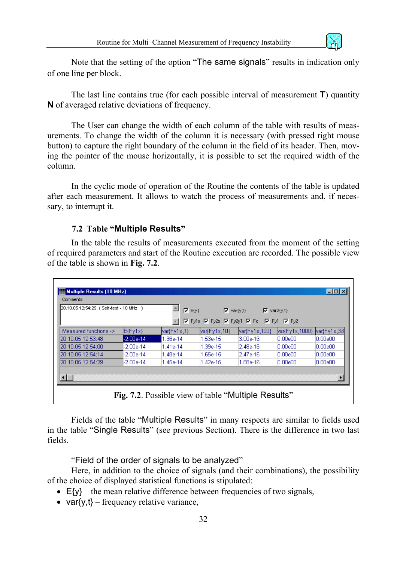

<span id="page-31-0"></span>Note that the setting of the option "The same signals" results in indication only of one line per block.

The last line contains true (for each possible interval of measurement **T**) quantity **N** of averaged relative deviations of frequency.

The User can change the width of each column of the table with results of measurements. To change the width of the column it is necessary (with pressed right mouse button) to capture the right boundary of the column in the field of its header. Then, moving the pointer of the mouse horizontally, it is possible to set the required width of the column.

In the cyclic mode of operation of the Routine the contents of the table is updated after each measurement. It allows to watch the process of measurements and, if necessary, to interrupt it.

#### **7.2 Table "Multiple Results"**

In the table the results of measurements executed from the moment of the setting of required parameters and start of the Routine execution are recorded. The possible view of the table is shown in **[Fig. 7.2](#page-31-1)**.

| 20.10.05 12:54:29 (Self-test - 10 MHz ) |             | $\overline{M}$ E(y)             | $\overline{V}$ var{y,t}                                                                                              |               | $\overline{V}$ var2{ $\gamma$ t} |                |
|-----------------------------------------|-------------|---------------------------------|----------------------------------------------------------------------------------------------------------------------|---------------|----------------------------------|----------------|
|                                         |             |                                 | $\overline{M}$ Fy1x $\overline{M}$ Fy2x $\overline{M}$ Fy2y1 $\overline{M}$ Fx $\overline{M}$ Fy1 $\overline{M}$ Fy2 |               |                                  |                |
| Measured functions ->                   | $E$ (Fy1x)  | $\textsf{var}(\mathsf{Fy1x},1)$ | var(Fy1x,10)                                                                                                         | var{Fy1x,100} | var{Fy1x,1000}                   | $ var$ Fy1x,36 |
| 120.10.05 12:53:48                      | $-2.00e-14$ | 1.36e-14                        | l1.53e-15.                                                                                                           | 3.00e-16      | 0.00e00                          | 0.00e00        |
| 120.10.05.12:54:00                      | -2.00e-14   | 1.41e-14                        | 1.39e-15                                                                                                             | 2.48e-16      | 0.00e00                          | 0.00e00        |
| 20.10.05 12:54:14                       | $-2.00e-14$ | 1.48e-14                        | 1.65e-15                                                                                                             | l2.47e-16     | 10.00e00                         | 0.00e00        |
| 20.10.05 12:54:29                       | $-2.00e-14$ | 1.45e-14                        | 1.42e-15                                                                                                             | 1.88e-16      | 0.00e00                          | 0.00e00        |
|                                         |             |                                 |                                                                                                                      |               |                                  |                |

<span id="page-31-1"></span>Fields of the table "Multiple Results" in many respects are similar to fields used in the table "Single Results" (see previous Section). There is the difference in two last fields.

"Field of the order of signals to be analyzed"

Here, in addition to the choice of signals (and their combinations), the possibility of the choice of displayed statistical functions is stipulated:

- $E\{v\}$  the mean relative difference between frequencies of two signals,
- var $\{v,t\}$  frequency relative variance,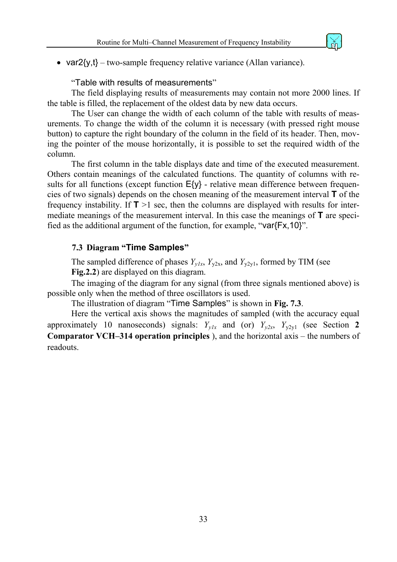

<span id="page-32-0"></span>• var $2\{y,t\}$  – two-sample frequency relative variance (Allan variance).

"Table with results of measurements"

The field displaying results of measurements may contain not more 2000 lines. If the table is filled, the replacement of the oldest data by new data occurs.

The User can change the width of each column of the table with results of measurements. To change the width of the column it is necessary (with pressed right mouse button) to capture the right boundary of the column in the field of its header. Then, moving the pointer of the mouse horizontally, it is possible to set the required width of the column.

The first column in the table displays date and time of the executed measurement. Others contain meanings of the calculated functions. The quantity of columns with results for all functions (except function  $E\{y\}$  - relative mean difference between frequencies of two signals) depends on the chosen meaning of the measurement interval **T** of the frequency instability. If  $T > 1$  sec, then the columns are displayed with results for intermediate meanings of the measurement interval. In this case the meanings of **T** are specified as the additional argument of the function, for example, "var{Fx,10}".

#### **7.3 Diagram "Time Samples"**

The sampled difference of phases  $Y_{y1x}$ ,  $Y_{y2x}$ , and  $Y_{y2y1}$ , formed by TIM (see **[Fig.2.2](#page-5-0)**) are displayed on this diagram.

The imaging of the diagram for any signal (from three signals mentioned above) is possible only when the method of three oscillators is used.

The illustration of diagram "Time Samples" is shown in **[Fig. 7.3](#page-33-0)**.

Here the vertical axis shows the magnitudes of sampled (with the accuracy equal approximately 10 nanoseconds) signals:  $Y_{y1x}$  and (or)  $Y_{y2x}$ ,  $Y_{y2y1}$  (see Section 2 **[Comparator VCH–314 operation principles](#page-4-4)** ), and the horizontal axis – the numbers of readouts.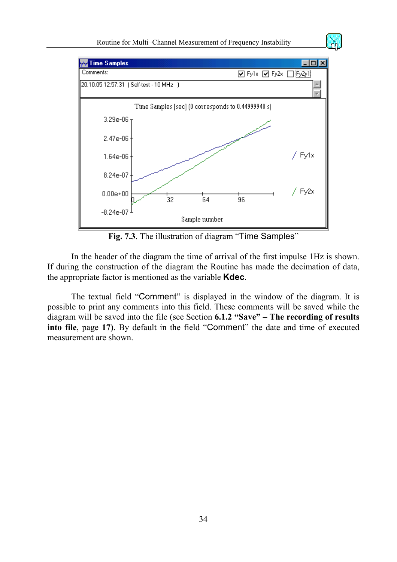

<span id="page-33-0"></span>**Fig. 7.3**. The illustration of diagram "Time Samples"

In the header of the diagram the time of arrival of the first impulse 1Hz is shown. If during the construction of the diagram the Routine has made the decimation of data, the appropriate factor is mentioned as the variable **Kdec**.

The textual field "Comment" is displayed in the window of the diagram. It is possible to print any comments into this field. These comments will be saved while the diagram will be saved into the file (see Section **[6.1.2 "Save" – The recording of results](#page-16-1)  [into file](#page-16-1)**, page **[17\)](#page-16-1)**. By default in the field "Comment" the date and time of executed measurement are shown.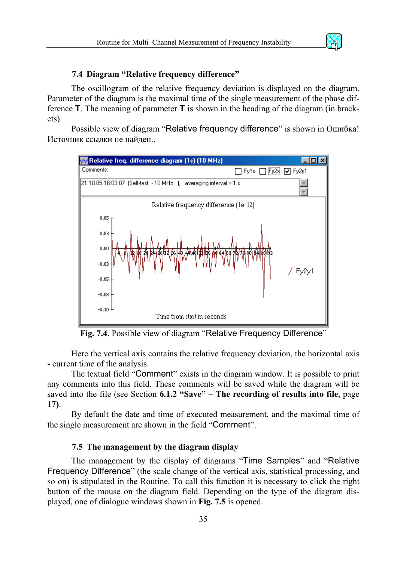

#### **7.4 Diagram "Relative frequency difference"**

<span id="page-34-0"></span>The oscillogram of the relative frequency deviation is displayed on the diagram. Parameter of the diagram is the maximal time of the single measurement of the phase difference **T**. The meaning of parameter **T** is shown in the heading of the diagram (in brackets).

Possible view of diagram "Relative frequency difference" is shown in [Ошибка](#page-16-1)! [Источник](#page-16-1) ссылки не найден..



Fig. 7.4. Possible view of diagram "Relative Frequency Difference"

Here the vertical axis contains the relative frequency deviation, the horizontal axis - current time of the analysis.

The textual field "Comment" exists in the diagram window. It is possible to print any comments into this field. These comments will be saved while the diagram will be saved into the file (see Section **[6.1.2 "Save" – The recording of results into file](#page-16-1)**, page **[17\)](#page-16-1)**.

By default the date and time of executed measurement, and the maximal time of the single measurement are shown in the field "Comment".

#### **7.5 The management by the diagram display**

The management by the display of diagrams "Time Samples" and "Relative Frequency Difference" (the scale change of the vertical axis, statistical processing, and so on) is stipulated in the Routine. To call this function it is necessary to click the right button of the mouse on the diagram field. Depending on the type of the diagram displayed, one of dialogue windows shown in **[Fig. 7.5](#page-16-1)** is opened.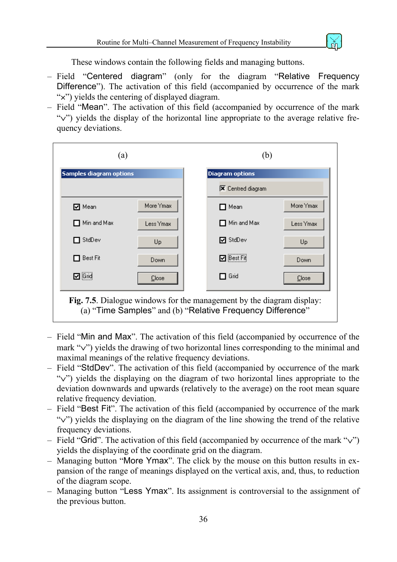

These windows contain the following fields and managing buttons.

- Field "Centered diagram" (only for the diagram "Relative Frequency Difference"). The activation of this field (accompanied by occurrence of the mark "×") yields the centering of displayed diagram.
- Field "Mean". The activation of this field (accompanied by occurrence of the mark "∨") yields the display of the horizontal line appropriate to the average relative frequency deviations.



- Field "Min and Max". The activation of this field (accompanied by occurrence of the mark "∨") yields the drawing of two horizontal lines corresponding to the minimal and maximal meanings of the relative frequency deviations.
- Field "StdDev". The activation of this field (accompanied by occurrence of the mark "∨") yields the displaying on the diagram of two horizontal lines appropriate to the deviation downwards and upwards (relatively to the average) on the root mean square relative frequency deviation.
- Field "Best Fit". The activation of this field (accompanied by occurrence of the mark "∨") yields the displaying on the diagram of the line showing the trend of the relative frequency deviations.
- Field "Grid". The activation of this field (accompanied by occurrence of the mark "∨") yields the displaying of the coordinate grid on the diagram.
- Managing button "More Ymax". The click by the mouse on this button results in expansion of the range of meanings displayed on the vertical axis, and, thus, to reduction of the diagram scope.
- Managing button "Less Ymax". Its assignment is controversial to the assignment of the previous button.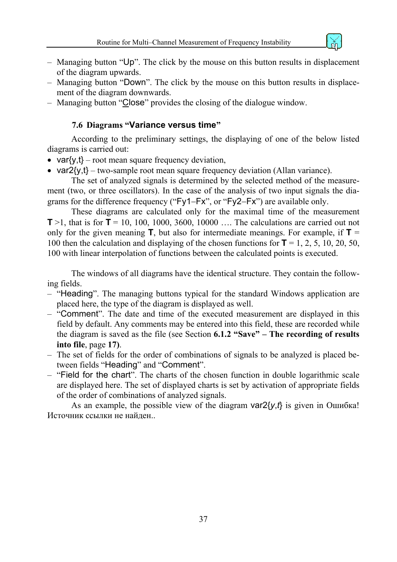

- <span id="page-36-0"></span>– Managing button "Up". The click by the mouse on this button results in displacement of the diagram upwards.
- Managing button "Down". The click by the mouse on this button results in displacement of the diagram downwards.
- Managing button "Close" provides the closing of the dialogue window.

#### **7.6 Diagrams "Variance versus time"**

According to the preliminary settings, the displaying of one of the below listed diagrams is carried out:

- var $\{y,t\}$  root mean square frequency deviation,
- var $2\{y,t\}$  two-sample root mean square frequency deviation (Allan variance).

The set of analyzed signals is determined by the selected method of the measurement (two, or three oscillators). In the case of the analysis of two input signals the diagrams for the difference frequency ("Fy1−Fx", or "Fy2−Fx") are available only.

These diagrams are calculated only for the maximal time of the measurement **T** >1, that is for **T** = 10, 100, 1000, 3600, 10000 .... The calculations are carried out not only for the given meaning  $\mathbf{T}$ , but also for intermediate meanings. For example, if  $\mathbf{T} =$ 100 then the calculation and displaying of the chosen functions for **T** = 1, 2, 5, 10, 20, 50, 100 with linear interpolation of functions between the calculated points is executed.

The windows of all diagrams have the identical structure. They contain the following fields.

- "Heading". The managing buttons typical for the standard Windows application are placed here, the type of the diagram is displayed as well.
- "Comment". The date and time of the executed measurement are displayed in this field by default. Any comments may be entered into this field, these are recorded while the diagram is saved as the file (see Section **[6.1.2 "Save" – The recording of results](#page-16-1)  [into file](#page-16-1)**, page **[17\)](#page-16-1)**.
- The set of fields for the order of combinations of signals to be analyzed is placed between fields "Heading" and "Comment".
- "Field for the chart". The charts of the chosen function in double logarithmic scale are displayed here. The set of displayed charts is set by activation of appropriate fields of the order of combinations of analyzed signals.

As an example, the possible view of the diagram var2{*y*,*t*} is given in [Ошибка](#page-25-1)! [Источник](#page-25-1) ссылки не найден..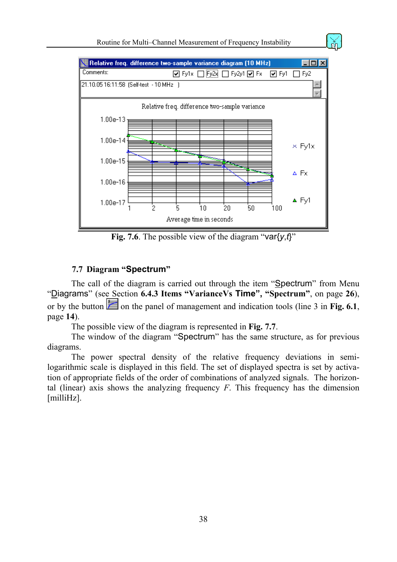<span id="page-37-0"></span>

**Fig. 7.6**. The possible view of the diagram "var{*y*,*t*}"

#### **7.7 Diagram "Spectrum"**

The call of the diagram is carried out through the item "Spectrum" from Menu "Diagrams" (see Section **[6.4.3 Items "VarianceVs](#page-25-1) Time", "Spectrum"**, on page **[26](#page-25-1)**), or by the button  $\geq$  on the panel of management and indication tools (line 3 in **[Fig. 6.1](#page-13-1)**, page **[14](#page-13-1)**).

The possible view of the diagram is represented in **[Fig. 7.7](#page-38-0)**.

The window of the diagram "Spectrum" has the same structure, as for previous diagrams.

The power spectral density of the relative frequency deviations in semilogarithmic scale is displayed in this field. The set of displayed spectra is set by activation of appropriate fields of the order of combinations of analyzed signals. The horizontal (linear) axis shows the analyzing frequency *F*. This frequency has the dimension [milliHz].